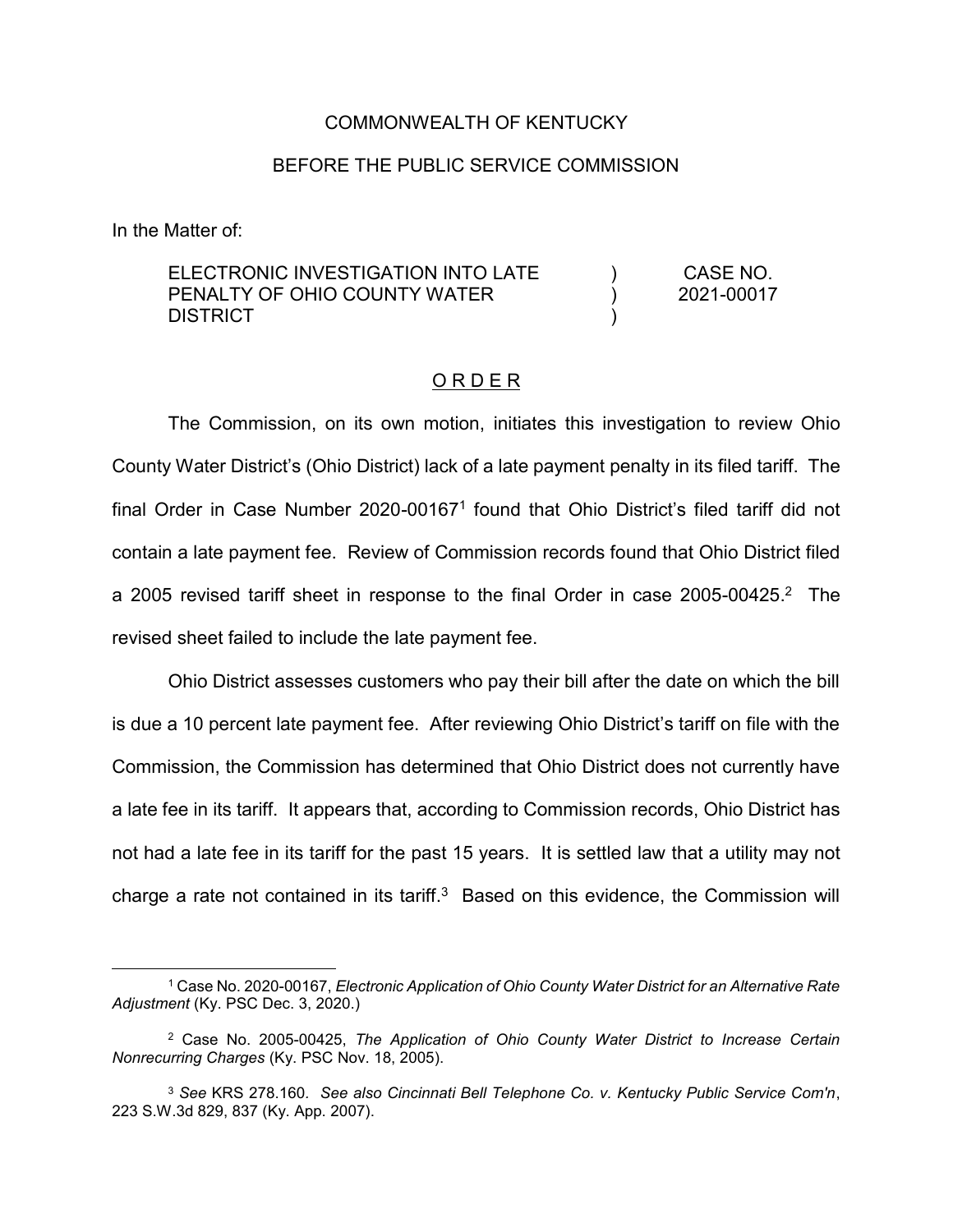## COMMONWEALTH OF KENTUCKY

## BEFORE THE PUBLIC SERVICE COMMISSION

In the Matter of:

 $\overline{a}$ 

| ELECTRONIC INVESTIGATION INTO LATE |  | CASE NO.<br>2021-00017 |
|------------------------------------|--|------------------------|
| PENALTY OF OHIO COUNTY WATER       |  |                        |
| DISTRICT                           |  |                        |

## O R D E R

The Commission, on its own motion, initiates this investigation to review Ohio County Water District's (Ohio District) lack of a late payment penalty in its filed tariff. The final Order in Case Number 2020-001671 found that Ohio District's filed tariff did not contain a late payment fee. Review of Commission records found that Ohio District filed a 2005 revised tariff sheet in response to the final Order in case 2005-00425. <sup>2</sup> The revised sheet failed to include the late payment fee.

Ohio District assesses customers who pay their bill after the date on which the bill is due a 10 percent late payment fee. After reviewing Ohio District's tariff on file with the Commission, the Commission has determined that Ohio District does not currently have a late fee in its tariff. It appears that, according to Commission records, Ohio District has not had a late fee in its tariff for the past 15 years. It is settled law that a utility may not charge a rate not contained in its tariff. $3$  Based on this evidence, the Commission will

<sup>1</sup> Case No. 2020-00167, *Electronic Application of Ohio County Water District for an Alternative Rate Adjustment* (Ky. PSC Dec. 3, 2020.)

<sup>2</sup> Case No. 2005-00425, *The Application of Ohio County Water District to Increase Certain Nonrecurring Charges* (Ky. PSC Nov. 18, 2005).

<sup>3</sup> *See* KRS 278.160*. See also Cincinnati Bell Telephone Co. v. Kentucky Public Service Com'n*, 223 S.W.3d 829, 837 (Ky. App. 2007).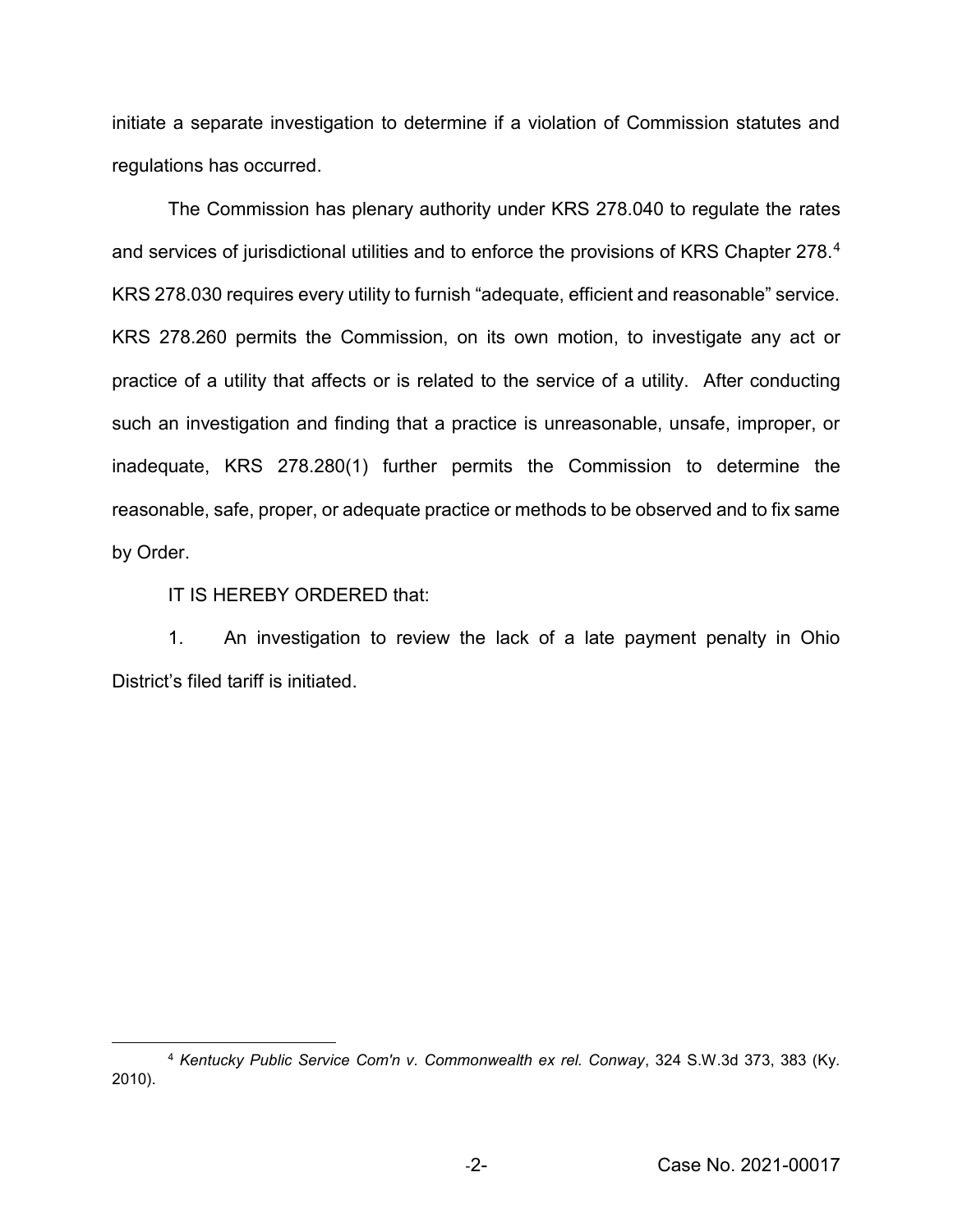initiate a separate investigation to determine if a violation of Commission statutes and regulations has occurred.

The Commission has plenary authority under KRS 278.040 to regulate the rates and services of jurisdictional utilities and to enforce the provisions of KRS Chapter 278.<sup>4</sup> KRS 278.030 requires every utility to furnish "adequate, efficient and reasonable" service. KRS 278.260 permits the Commission, on its own motion, to investigate any act or practice of a utility that affects or is related to the service of a utility. After conducting such an investigation and finding that a practice is unreasonable, unsafe, improper, or inadequate, KRS 278.280(1) further permits the Commission to determine the reasonable, safe, proper, or adequate practice or methods to be observed and to fix same by Order.

IT IS HEREBY ORDERED that:

 $\overline{\phantom{a}}$ 

1. An investigation to review the lack of a late payment penalty in Ohio District's filed tariff is initiated.

<sup>4</sup> *Kentucky Public Service Com'n v. Commonwealth ex rel. Conway*, 324 S.W.3d 373, 383 (Ky. 2010).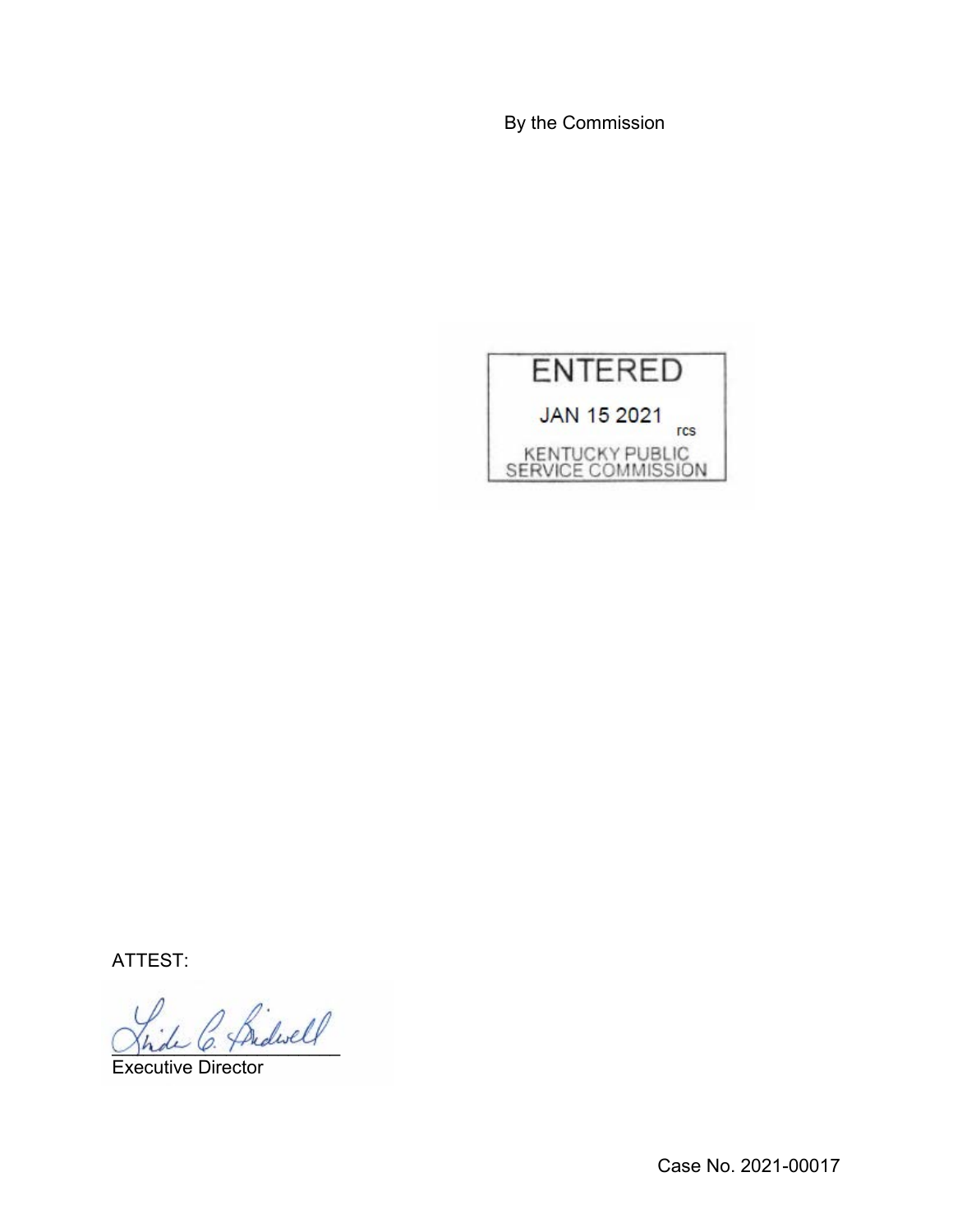By the Commission



ATTEST:

 $^{\prime}$  Sidwell

Executive Director

Case No. 2021-00017